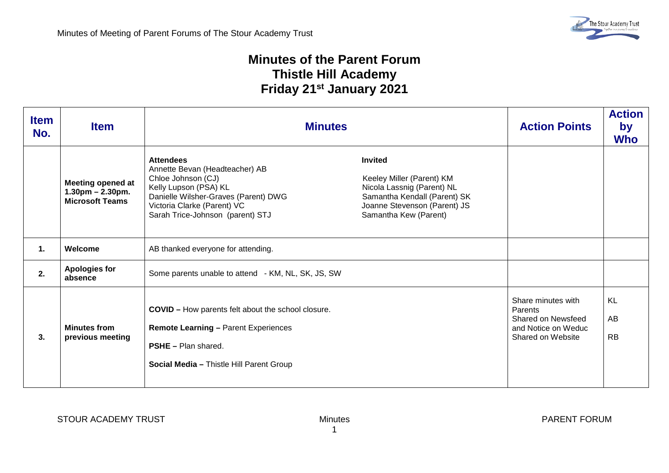## **Minutes of the Parent Forum Thistle Hill Academy Friday 21st January 2021**

| <b>Item</b><br>No. | <b>Item</b>                                                                  | <b>Minutes</b>                                                                                                                                                                                               |                                                                                                                                                                    | <b>Action Points</b>                                                                                   | <b>Action</b><br>by<br><b>Who</b> |
|--------------------|------------------------------------------------------------------------------|--------------------------------------------------------------------------------------------------------------------------------------------------------------------------------------------------------------|--------------------------------------------------------------------------------------------------------------------------------------------------------------------|--------------------------------------------------------------------------------------------------------|-----------------------------------|
|                    | <b>Meeting opened at</b><br>$1.30$ pm $- 2.30$ pm.<br><b>Microsoft Teams</b> | <b>Attendees</b><br>Annette Bevan (Headteacher) AB<br>Chloe Johnson (CJ)<br>Kelly Lupson (PSA) KL<br>Danielle Wilsher-Graves (Parent) DWG<br>Victoria Clarke (Parent) VC<br>Sarah Trice-Johnson (parent) STJ | <b>Invited</b><br>Keeley Miller (Parent) KM<br>Nicola Lassnig (Parent) NL<br>Samantha Kendall (Parent) SK<br>Joanne Stevenson (Parent) JS<br>Samantha Kew (Parent) |                                                                                                        |                                   |
| 1.                 | Welcome                                                                      | AB thanked everyone for attending.                                                                                                                                                                           |                                                                                                                                                                    |                                                                                                        |                                   |
| 2.                 | <b>Apologies for</b><br>absence                                              | Some parents unable to attend - KM, NL, SK, JS, SW                                                                                                                                                           |                                                                                                                                                                    |                                                                                                        |                                   |
| 3.                 | <b>Minutes from</b><br>previous meeting                                      | <b>COVID</b> - How parents felt about the school closure.<br><b>Remote Learning - Parent Experiences</b><br><b>PSHE</b> - Plan shared.<br>Social Media - Thistle Hill Parent Group                           |                                                                                                                                                                    | Share minutes with<br><b>Parents</b><br>Shared on Newsfeed<br>and Notice on Weduc<br>Shared on Website | KL<br>AB<br><b>RB</b>             |